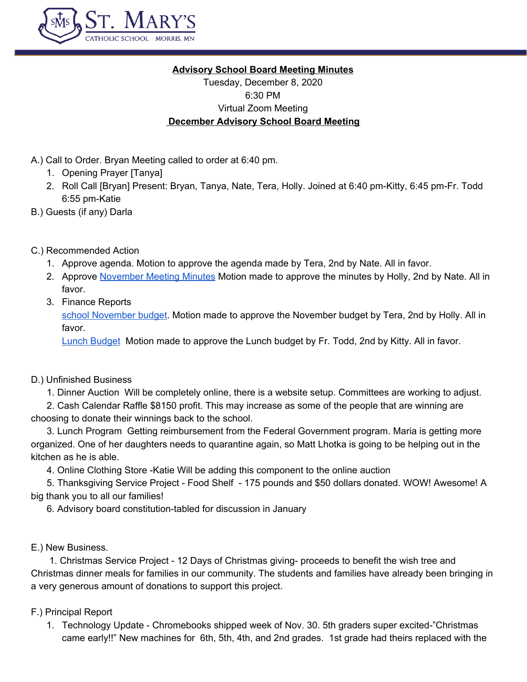

# **Advisory School Board Meeting Minutes**

Tuesday, December 8, 2020 6:30 PM Virtual Zoom Meeting **December Advisory School Board Meeting**

- A.) Call to Order. Bryan Meeting called to order at 6:40 pm.
	- 1. Opening Prayer [Tanya]
	- 2. Roll Call [Bryan] Present: Bryan, Tanya, Nate, Tera, Holly. Joined at 6:40 pm-Kitty, 6:45 pm-Fr. Todd 6:55 pm-Katie
- B.) Guests (if any) Darla
- C.) Recommended Action
	- 1. Approve agenda. Motion to approve the agenda made by Tera, 2nd by Nate. All in favor.
	- 2. Approve [November](https://docs.google.com/document/d/1EGtJCEJ5Dg5JvSxQu9C70WAxs25zstZBpGfd-b5Gne8/edit) Meeting Minutes Motion made to approve the minutes by Holly, 2nd by Nate. All in favor.
	- 3. Finance Reports

school [November](https://docs.google.com/spreadsheets/d/1V9cqD1gmjtF69zV9zfy4fMGAVU1A3Wg0ajCuKtoZvKE/edit#gid=762954327) budget. Motion made to approve the November budget by Tera, 2nd by Holly. All in favor.

**Lunch [Budget](https://docs.google.com/spreadsheets/d/1LHeRBftDqb2BVkX7W3bu2iktaiabKCpdS5v7NZww0BY/edit#gid=166455596)** Motion made to approve the Lunch budget by Fr. Todd, 2nd by Kitty. All in favor.

D.) Unfinished Business

1. Dinner Auction Will be completely online, there is a website setup. Committees are working to adjust.

2. Cash Calendar Raffle \$8150 profit. This may increase as some of the people that are winning are choosing to donate their winnings back to the school.

3. Lunch Program Getting reimbursement from the Federal Government program. Maria is getting more organized. One of her daughters needs to quarantine again, so Matt Lhotka is going to be helping out in the kitchen as he is able.

4. Online Clothing Store -Katie Will be adding this component to the online auction

5. Thanksgiving Service Project - Food Shelf - 175 pounds and \$50 dollars donated. WOW! Awesome! A big thank you to all our families!

6. Advisory board constitution-tabled for discussion in January

E.) New Business.

1. Christmas Service Project - 12 Days of Christmas giving- proceeds to benefit the wish tree and Christmas dinner meals for families in our community. The students and families have already been bringing in a very generous amount of donations to support this project.

### F.) Principal Report

1. Technology Update - Chromebooks shipped week of Nov. 30. 5th graders super excited-"Christmas came early!!" New machines for 6th, 5th, 4th, and 2nd grades. 1st grade had theirs replaced with the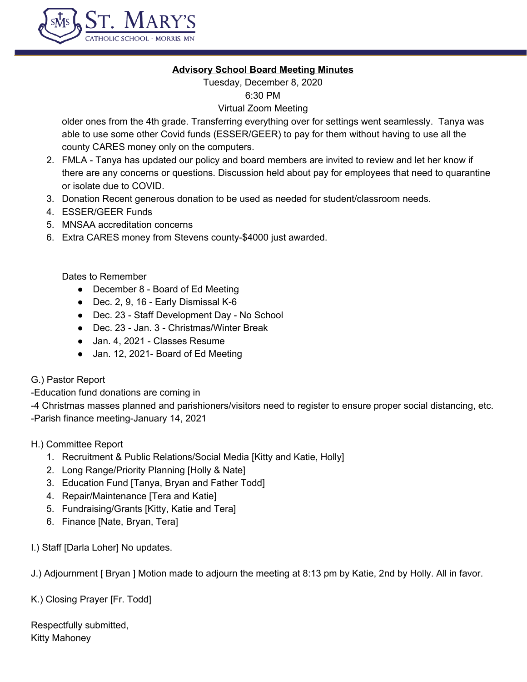

### **Advisory School Board Meeting Minutes**

Tuesday, December 8, 2020 6:30 PM

#### Virtual Zoom Meeting

older ones from the 4th grade. Transferring everything over for settings went seamlessly. Tanya was able to use some other Covid funds (ESSER/GEER) to pay for them without having to use all the county CARES money only on the computers.

- 2. FMLA Tanya has updated our policy and board members are invited to review and let her know if there are any concerns or questions. Discussion held about pay for employees that need to quarantine or isolate due to COVID.
- 3. Donation Recent generous donation to be used as needed for student/classroom needs.
- 4. ESSER/GEER Funds
- 5. MNSAA accreditation concerns
- 6. Extra CARES money from Stevens county-\$4000 just awarded.

Dates to Remember

- December 8 Board of Ed Meeting
- Dec. 2, 9, 16 Early Dismissal K-6
- Dec. 23 Staff Development Day No School
- Dec. 23 Jan. 3 Christmas/Winter Break
- Jan. 4, 2021 Classes Resume
- Jan. 12, 2021- Board of Ed Meeting
- G.) Pastor Report

-Education fund donations are coming in

-4 Christmas masses planned and parishioners/visitors need to register to ensure proper social distancing, etc. -Parish finance meeting-January 14, 2021

H.) Committee Report

- 1. Recruitment & Public Relations/Social Media [Kitty and Katie, Holly]
- 2. Long Range/Priority Planning [Holly & Nate]
- 3. Education Fund [Tanya, Bryan and Father Todd]
- 4. Repair/Maintenance [Tera and Katie]
- 5. Fundraising/Grants [Kitty, Katie and Tera]
- 6. Finance [Nate, Bryan, Tera]

I.) Staff [Darla Loher] No updates.

J.) Adjournment [ Bryan ] Motion made to adjourn the meeting at 8:13 pm by Katie, 2nd by Holly. All in favor.

K.) Closing Prayer [Fr. Todd]

Respectfully submitted, Kitty Mahoney